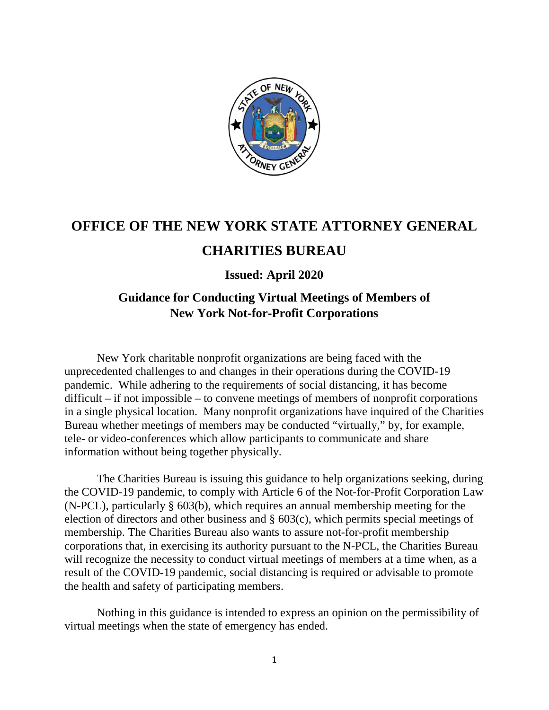

# **OFFICE OF THE NEW YORK STATE ATTORNEY GENERAL**

# **CHARITIES BUREAU**

## **Issued: April 2020**

## **Guidance for Conducting Virtual Meetings of Members of New York Not-for-Profit Corporations**

New York charitable nonprofit organizations are being faced with the unprecedented challenges to and changes in their operations during the COVID-19 pandemic. While adhering to the requirements of social distancing, it has become difficult – if not impossible – to convene meetings of members of nonprofit corporations in a single physical location. Many nonprofit organizations have inquired of the Charities Bureau whether meetings of members may be conducted "virtually," by, for example, tele- or video-conferences which allow participants to communicate and share information without being together physically.

The Charities Bureau is issuing this guidance to help organizations seeking, during the COVID-19 pandemic, to comply with Article 6 of the Not-for-Profit Corporation Law (N-PCL), particularly § 603(b), which requires an annual membership meeting for the election of directors and other business and § 603(c), which permits special meetings of membership. The Charities Bureau also wants to assure not-for-profit membership corporations that, in exercising its authority pursuant to the N-PCL, the Charities Bureau will recognize the necessity to conduct virtual meetings of members at a time when, as a result of the COVID-19 pandemic, social distancing is required or advisable to promote the health and safety of participating members.

Nothing in this guidance is intended to express an opinion on the permissibility of virtual meetings when the state of emergency has ended.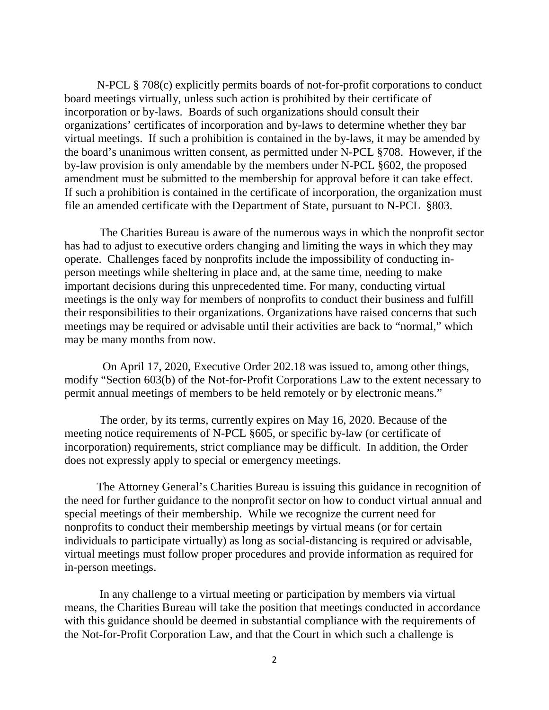N-PCL § 708(c) explicitly permits boards of not-for-profit corporations to conduct board meetings virtually, unless such action is prohibited by their certificate of incorporation or by-laws. Boards of such organizations should consult their organizations' certificates of incorporation and by-laws to determine whether they bar virtual meetings. If such a prohibition is contained in the by-laws, it may be amended by the board's unanimous written consent, as permitted under N-PCL §708. However, if the by-law provision is only amendable by the members under N-PCL §602, the proposed amendment must be submitted to the membership for approval before it can take effect. If such a prohibition is contained in the certificate of incorporation, the organization must file an amended certificate with the Department of State, pursuant to N-PCL §803.

The Charities Bureau is aware of the numerous ways in which the nonprofit sector has had to adjust to executive orders changing and limiting the ways in which they may operate. Challenges faced by nonprofits include the impossibility of conducting inperson meetings while sheltering in place and, at the same time, needing to make important decisions during this unprecedented time. For many, conducting virtual meetings is the only way for members of nonprofits to conduct their business and fulfill their responsibilities to their organizations. Organizations have raised concerns that such meetings may be required or advisable until their activities are back to "normal," which may be many months from now.

 On April 17, 2020, Executive Order 202.18 was issued to, among other things, modify "Section 603(b) of the Not-for-Profit Corporations Law to the extent necessary to permit annual meetings of members to be held remotely or by electronic means."

The order, by its terms, currently expires on May 16, 2020. Because of the meeting notice requirements of N-PCL §605, or specific by-law (or certificate of incorporation) requirements, strict compliance may be difficult. In addition, the Order does not expressly apply to special or emergency meetings.

The Attorney General's Charities Bureau is issuing this guidance in recognition of the need for further guidance to the nonprofit sector on how to conduct virtual annual and special meetings of their membership. While we recognize the current need for nonprofits to conduct their membership meetings by virtual means (or for certain individuals to participate virtually) as long as social-distancing is required or advisable, virtual meetings must follow proper procedures and provide information as required for in-person meetings.

In any challenge to a virtual meeting or participation by members via virtual means, the Charities Bureau will take the position that meetings conducted in accordance with this guidance should be deemed in substantial compliance with the requirements of the Not-for-Profit Corporation Law, and that the Court in which such a challenge is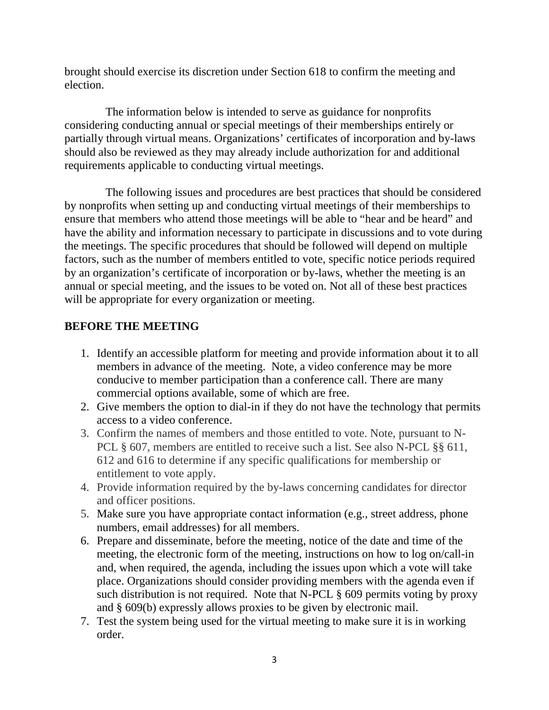brought should exercise its discretion under Section 618 to confirm the meeting and election.

The information below is intended to serve as guidance for nonprofits considering conducting annual or special meetings of their memberships entirely or partially through virtual means. Organizations' certificates of incorporation and by-laws should also be reviewed as they may already include authorization for and additional requirements applicable to conducting virtual meetings.

The following issues and procedures are best practices that should be considered by nonprofits when setting up and conducting virtual meetings of their memberships to ensure that members who attend those meetings will be able to "hear and be heard" and have the ability and information necessary to participate in discussions and to vote during the meetings. The specific procedures that should be followed will depend on multiple factors, such as the number of members entitled to vote, specific notice periods required by an organization's certificate of incorporation or by-laws, whether the meeting is an annual or special meeting, and the issues to be voted on. Not all of these best practices will be appropriate for every organization or meeting.

### **BEFORE THE MEETING**

- 1. Identify an accessible platform for meeting and provide information about it to all members in advance of the meeting. Note, a video conference may be more conducive to member participation than a conference call. There are many commercial options available, some of which are free.
- 2. Give members the option to dial-in if they do not have the technology that permits access to a video conference.
- 3. Confirm the names of members and those entitled to vote. Note, pursuant to N-PCL § 607, members are entitled to receive such a list. See also N-PCL §§ 611, 612 and 616 to determine if any specific qualifications for membership or entitlement to vote apply.
- 4. Provide information required by the by-laws concerning candidates for director and officer positions.
- 5. Make sure you have appropriate contact information (e.g., street address, phone numbers, email addresses) for all members.
- 6. Prepare and disseminate, before the meeting, notice of the date and time of the meeting, the electronic form of the meeting, instructions on how to log on/call-in and, when required, the agenda, including the issues upon which a vote will take place. Organizations should consider providing members with the agenda even if such distribution is not required. Note that N-PCL § 609 permits voting by proxy and § 609(b) expressly allows proxies to be given by electronic mail.
- 7. Test the system being used for the virtual meeting to make sure it is in working order.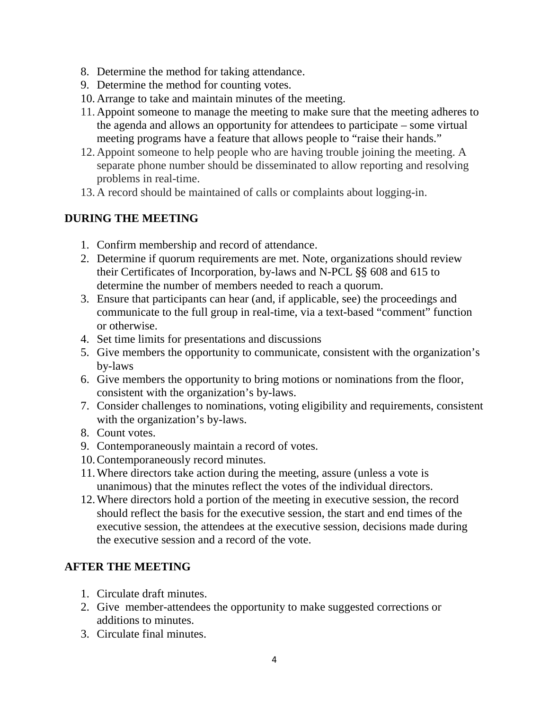- 8. Determine the method for taking attendance.
- 9. Determine the method for counting votes.
- 10.Arrange to take and maintain minutes of the meeting.
- 11.Appoint someone to manage the meeting to make sure that the meeting adheres to the agenda and allows an opportunity for attendees to participate – some virtual meeting programs have a feature that allows people to "raise their hands."
- 12.Appoint someone to help people who are having trouble joining the meeting. A separate phone number should be disseminated to allow reporting and resolving problems in real-time.
- 13.A record should be maintained of calls or complaints about logging-in.

#### **DURING THE MEETING**

- 1. Confirm membership and record of attendance.
- 2. Determine if quorum requirements are met. Note, organizations should review their Certificates of Incorporation, by-laws and N-PCL §§ 608 and 615 to determine the number of members needed to reach a quorum.
- 3. Ensure that participants can hear (and, if applicable, see) the proceedings and communicate to the full group in real-time, via a text-based "comment" function or otherwise.
- 4. Set time limits for presentations and discussions
- 5. Give members the opportunity to communicate, consistent with the organization's by-laws
- 6. Give members the opportunity to bring motions or nominations from the floor, consistent with the organization's by-laws.
- 7. Consider challenges to nominations, voting eligibility and requirements, consistent with the organization's by-laws.
- 8. Count votes.
- 9. Contemporaneously maintain a record of votes.
- 10.Contemporaneously record minutes.
- 11.Where directors take action during the meeting, assure (unless a vote is unanimous) that the minutes reflect the votes of the individual directors.
- 12.Where directors hold a portion of the meeting in executive session, the record should reflect the basis for the executive session, the start and end times of the executive session, the attendees at the executive session, decisions made during the executive session and a record of the vote.

### **AFTER THE MEETING**

- 1. Circulate draft minutes.
- 2. Give member-attendees the opportunity to make suggested corrections or additions to minutes.
- 3. Circulate final minutes.